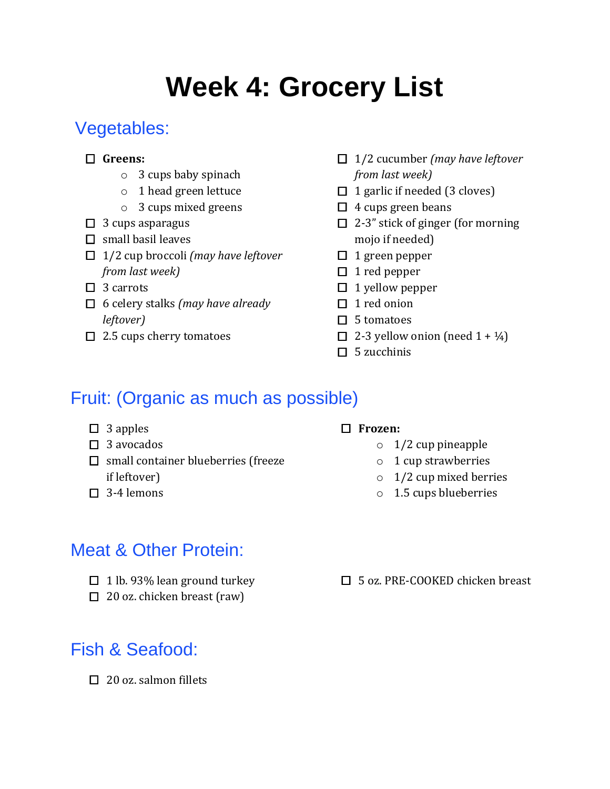# **Week 4: Grocery List**

# Vegetables:

#### **Greens:**

- o 3 cups baby spinach
- o 1 head green lettuce
- o 3 cups mixed greens
- $\Box$  3 cups asparagus
- $\Box$  small basil leaves
- 1/2 cup broccoli *(may have leftover from last week)*
- $\Box$  3 carrots
- 6 celery stalks *(may have already leftover)*
- $\Box$  2.5 cups cherry tomatoes
- 1/2 cucumber *(may have leftover from last week)*
- $\Box$  1 garlic if needed (3 cloves)
- $\Box$  4 cups green beans
- $\Box$  2-3" stick of ginger (for morning mojo if needed)
- $\Box$  1 green pepper
- $\Box$  1 red pepper
- $\Box$  1 yellow pepper
- $\Box$  1 red onion
- $\Box$  5 tomatoes
- $\Box$  2-3 yellow onion (need 1 +  $\frac{1}{4}$ )
- $\Box$  5 zucchinis

# Fruit: (Organic as much as possible)

- $\Box$  3 apples
- $\square$  3 avocados
- $\square$  small container blueberries (freeze if leftover)
- $\Box$  3-4 lemons

#### **Frozen:**

- $\circ$  1/2 cup pineapple
- o 1 cup strawberries
- $\circ$  1/2 cup mixed berries
- o 1.5 cups blueberries

### Meat & Other Protein:

- $\Box$  1 lb. 93% lean ground turkey
- $\Box$  20 oz. chicken breast (raw)

# Fish & Seafood:

 $\Box$  20 oz. salmon fillets

□ 5 oz. PRE-COOKED chicken breast